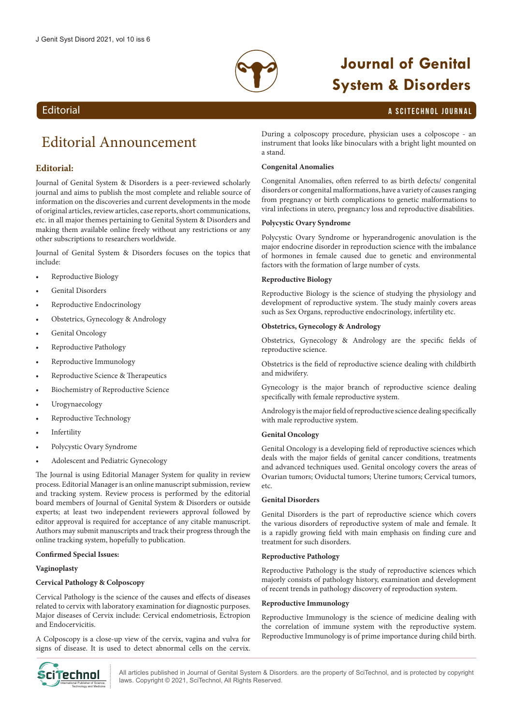

a stand.

# **Journal of Genital System & Disorders**

## a SciTechnol journal

## **Editorial**

## Editorial Announcement

## **Editorial:**

Journal of Genital System & Disorders is a peer-reviewed scholarly journal and aims to publish the most complete and reliable source of information on the discoveries and current developments in the mode of original articles, review articles, case reports, short communications, etc. in all major themes pertaining to Genital System & Disorders and making them available online freely without any restrictions or any other subscriptions to researchers worldwide.

Journal of Genital System & Disorders focuses on the topics that include:

- Reproductive Biology
- Genital Disorders
- Reproductive Endocrinology
- Obstetrics, Gynecology & Andrology
- Genital Oncology
- Reproductive Pathology
- Reproductive Immunology
- Reproductive Science & Therapeutics
- Biochemistry of Reproductive Science
- Urogynaecology
- Reproductive Technology
- **Infertility**
- Polycystic Ovary Syndrome
- Adolescent and Pediatric Gynecology

The Journal is using Editorial Manager System for quality in review process. Editorial Manager is an online manuscript submission, review and tracking system. Review process is performed by the editorial board members of Journal of Genital System & Disorders or outside experts; at least two independent reviewers approval followed by editor approval is required for acceptance of any citable manuscript. Authors may submit manuscripts and track their progress through the online tracking system, hopefully to publication.

#### **Confirmed Special Issues:**

#### **Vaginoplasty**

#### **Cervical Pathology & Colposcopy**

Cervical Pathology is the science of the causes and effects of diseases related to cervix with laboratory examination for diagnostic purposes. Major diseases of Cervix include: Cervical endometriosis, Ectropion and Endocervicitis.

A Colposcopy is a close-up view of the cervix, vagina and vulva for signs of disease. It is used to detect abnormal cells on the cervix.



disorders or congenital malformations, have a variety of causes ranging from pregnancy or birth complications to genetic malformations to viral infections in utero, pregnancy loss and reproductive disabilities.

During a colposcopy procedure, physician uses a colposcope - an instrument that looks like binoculars with a bright light mounted on

Congenital Anomalies, often referred to as birth defects/ congenital

#### **Polycystic Ovary Syndrome**

**Congenital Anomalies**

Polycystic Ovary Syndrome or hyperandrogenic anovulation is the major endocrine disorder in reproduction science with the imbalance of hormones in female caused due to genetic and environmental factors with the formation of large number of cysts.

#### **Reproductive Biology**

Reproductive Biology is the science of studying the physiology and development of reproductive system. The study mainly covers areas such as Sex Organs, reproductive endocrinology, infertility etc.

#### **Obstetrics, Gynecology & Andrology**

Obstetrics, Gynecology & Andrology are the specific fields of reproductive science.

Obstetrics is the field of reproductive science dealing with childbirth and midwifery.

Gynecology is the major branch of reproductive science dealing specifically with female reproductive system.

Andrology is the major field of reproductive science dealing specifically with male reproductive system.

#### **Genital Oncology**

Genital Oncology is a developing field of reproductive sciences which deals with the major fields of genital cancer conditions, treatments and advanced techniques used. Genital oncology covers the areas of Ovarian tumors; Oviductal tumors; Uterine tumors; Cervical tumors, etc.

#### **Genital Disorders**

Genital Disorders is the part of reproductive science which covers the various disorders of reproductive system of male and female. It is a rapidly growing field with main emphasis on finding cure and treatment for such disorders.

#### **Reproductive Pathology**

Reproductive Pathology is the study of reproductive sciences which majorly consists of pathology history, examination and development of recent trends in pathology discovery of reproduction system.

#### **Reproductive Immunology**

Reproductive Immunology is the science of medicine dealing with the correlation of immune system with the reproductive system. Reproductive Immunology is of prime importance during child birth.

All articles published in Journal of Genital System & Disorders. are the property of SciTechnol, and is protected by copyright **Ciffechnol** All articles published in Journal of Genital System & Diso<br>Iaws. Copyright © 2021, SciTechnol, All Rights Reserved.